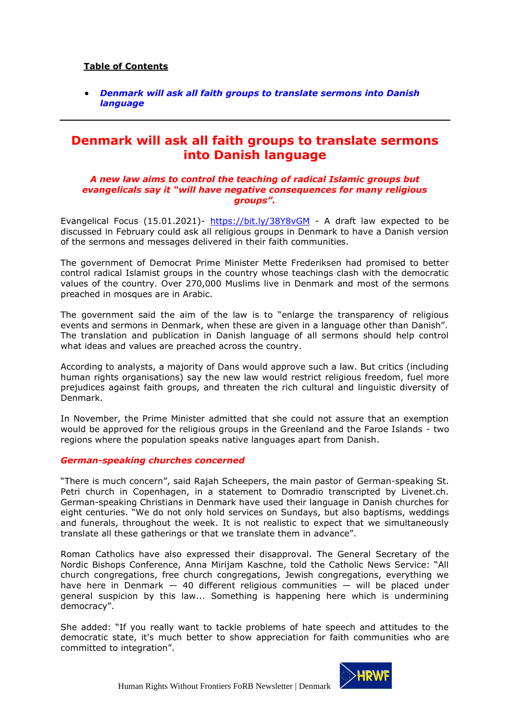## **Table of Contents**

• *[Denmark will ask all faith groups to translate sermons into Danish](#page-0-0)  [language](#page-0-0)*

# <span id="page-0-0"></span>**Denmark will ask all faith groups to translate sermons into Danish language**

#### *A new law aims to control the teaching of radical Islamic groups but evangelicals say it "will have negative consequences for many religious groups".*

Evangelical Focus (15.01.2021)- <https://bit.ly/38Y8vGM> - A draft law expected to be discussed in February could ask all religious groups in Denmark to have a Danish version of the sermons and messages delivered in their faith communities.

The government of Democrat Prime Minister Mette Frederiksen had promised to better control radical Islamist groups in the country whose teachings clash with the democratic values of the country. Over 270,000 Muslims live in Denmark and most of the sermons preached in mosques are in Arabic.

The government said the aim of the law is to "enlarge the transparency of religious events and sermons in Denmark, when these are given in a language other than Danish". The translation and publication in Danish language of all sermons should help control what ideas and values are preached across the country.

According to analysts, a majority of Dans would approve such a law. But critics (including human rights organisations) say the new law would restrict religious freedom, fuel more prejudices against faith groups, and threaten the rich cultural and linguistic diversity of Denmark.

In November, the Prime Minister admitted that she could not assure that an exemption would be approved for the religious groups in the Greenland and the Faroe Islands - two regions where the population speaks native languages apart from Danish.

#### *German-speaking churches concerned*

"There is much concern", said Rajah Scheepers, the main pastor of German-speaking St. Petri church in Copenhagen, in a statement to Domradio transcripted by Livenet.ch. German-speaking Christians in Denmark have used their language in Danish churches for eight centuries. "We do not only hold services on Sundays, but also baptisms, weddings and funerals, throughout the week. It is not realistic to expect that we simultaneously translate all these gatherings or that we translate them in advance".

Roman Catholics have also expressed their disapproval. The General Secretary of the Nordic Bishops Conference, Anna Mirijam Kaschne, told the Catholic News Service: "All church congregations, free church congregations, Jewish congregations, everything we have here in Denmark  $-$  40 different religious communities  $-$  will be placed under general suspicion by this law... Something is happening here which is undermining democracy".

She added: "If you really want to tackle problems of hate speech and attitudes to the democratic state, it's much better to show appreciation for faith communities who are committed to integration".